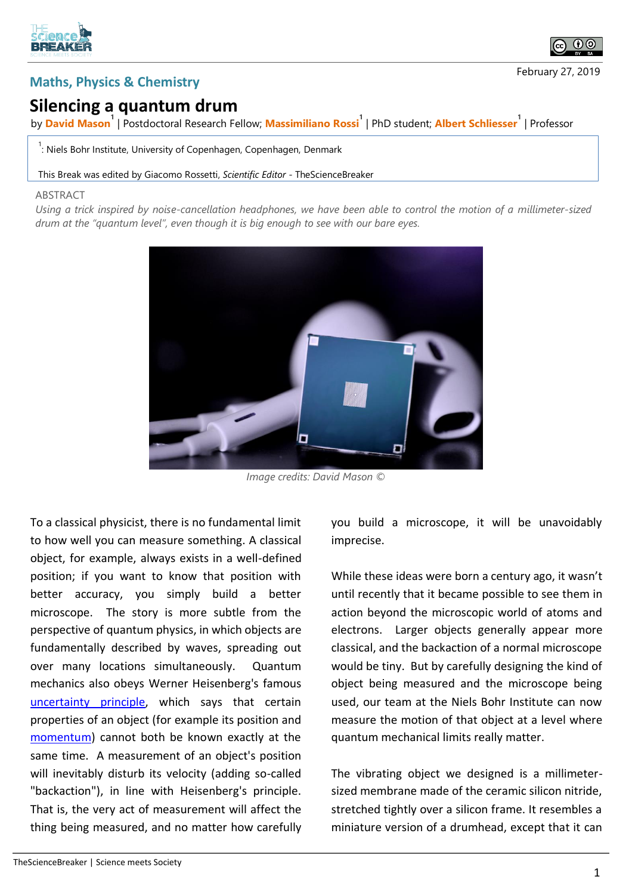



## **Silencing a quantum drum**

by **David Mason<sup>1</sup>** | Postdoctoral Research Fellow; **Massimiliano Rossi<sup>1</sup>** | PhD student; **Albert Schliesser<sup>1</sup>** | Professor

<sup>1</sup>: Niels Bohr Institute, University of Copenhagen, Copenhagen, Denmark

## This Break was edited by Giacomo Rossetti, *Scientific Editor* - TheScienceBreaker

## **ABSTRACT**

*Using a trick inspired by noise-cancellation headphones, we have been able to control the motion of a millimeter-sized drum at the "quantum level", even though it is big enough to see with our bare eyes.*



*Image credits: David Mason ©*

To a classical physicist, there is no fundamental limit to how well you can measure something. A classical object, for example, always exists in a well-defined position; if you want to know that position with better accuracy, you simply build a better microscope. The story is more subtle from the perspective of quantum physics, in which objects are fundamentally described by waves, spreading out over many locations simultaneously. Quantum mechanics also obeys Werner Heisenberg's famous [uncertainty principle,](https://en.wikipedia.org/wiki/Uncertainty_principle) which says that certain properties of an object (for example its position and [momentum\)](https://en.wikipedia.org/wiki/Momentum) cannot both be known exactly at the same time. A measurement of an object's position will inevitably disturb its velocity (adding so-called "backaction"), in line with Heisenberg's principle. That is, the very act of measurement will affect the thing being measured, and no matter how carefully

you build a microscope, it will be unavoidably imprecise.

While these ideas were born a century ago, it wasn't until recently that it became possible to see them in action beyond the microscopic world of atoms and electrons. Larger objects generally appear more classical, and the backaction of a normal microscope would be tiny. But by carefully designing the kind of object being measured and the microscope being used, our team at the Niels Bohr Institute can now measure the motion of that object at a level where quantum mechanical limits really matter.

The vibrating object we designed is a millimetersized membrane made of the ceramic silicon nitride, stretched tightly over a silicon frame. It resembles a miniature version of a drumhead, except that it can